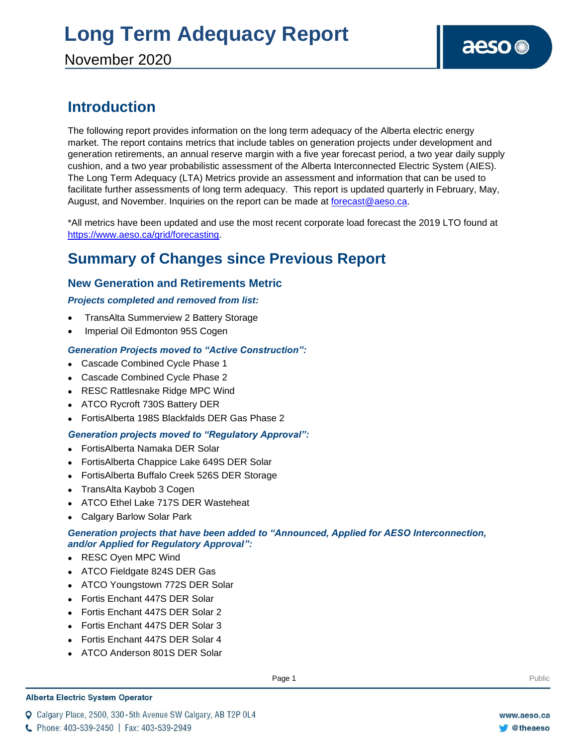November 2020

### **Introduction**

The following report provides information on the long term adequacy of the Alberta electric energy market. The report contains metrics that include tables on generation projects under development and generation retirements, an annual reserve margin with a five year forecast period, a two year daily supply cushion, and a two year probabilistic assessment of the Alberta Interconnected Electric System (AIES). The Long Term Adequacy (LTA) Metrics provide an assessment and information that can be used to facilitate further assessments of long term adequacy. This report is updated quarterly in February, May, August, and November. Inquiries on the report can be made at [forecast@aeso.ca.](mailto:forecast@aeso.ca)

\*All metrics have been updated and use the most recent corporate load forecast the 2019 LTO found at https://www.aeso.ca/grid/forecasting.

### **Summary of Changes since Previous Report**

### **New Generation and Retirements Metric**

### *Projects completed and removed from list:*

- TransAlta Summerview 2 Battery Storage
- Imperial Oil Edmonton 95S Cogen

### *Generation Projects moved to "Active Construction":*

- ⚫ Cascade Combined Cycle Phase 1
- ⚫ Cascade Combined Cycle Phase 2
- ⚫ RESC Rattlesnake Ridge MPC Wind
- ⚫ ATCO Rycroft 730S Battery DER
- ⚫ FortisAlberta 198S Blackfalds DER Gas Phase 2

### *Generation projects moved to "Regulatory Approval":*

- ⚫ FortisAlberta Namaka DER Solar
- ⚫ FortisAlberta Chappice Lake 649S DER Solar
- ⚫ FortisAlberta Buffalo Creek 526S DER Storage
- ⚫ TransAlta Kaybob 3 Cogen
- ⚫ ATCO Ethel Lake 717S DER Wasteheat
- ⚫ Calgary Barlow Solar Park

### *Generation projects that have been added to "Announced, Applied for AESO Interconnection, and/or Applied for Regulatory Approval":*

- ⚫ RESC Oyen MPC Wind
- ⚫ ATCO Fieldgate 824S DER Gas
- ⚫ ATCO Youngstown 772S DER Solar
- ⚫ Fortis Enchant 447S DER Solar
- ⚫ Fortis Enchant 447S DER Solar 2
- ⚫ Fortis Enchant 447S DER Solar 3
- ⚫ Fortis Enchant 447S DER Solar 4
- ⚫ ATCO Anderson 801S DER Solar

#### **Alberta Electric System Operator**

Q Calgary Place, 2500, 330-5th Avenue SW Calgary, AB T2P 0L4

**Enter Football Page 1** Public Page 1 **Public Public Public Public Public Public Public Public Public Public Public Public Public Public Public Public Public Public Public Public Public Public Public Public Public Public P** 

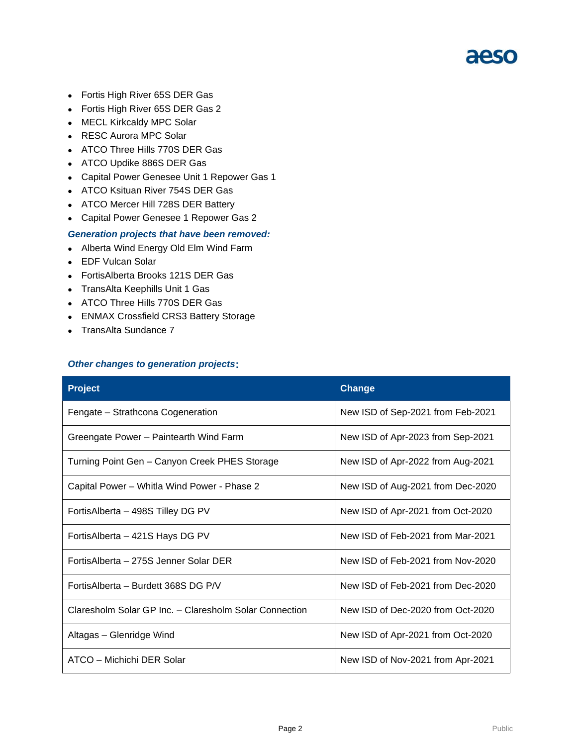- ⚫ Fortis High River 65S DER Gas
- ⚫ Fortis High River 65S DER Gas 2
- ⚫ MECL Kirkcaldy MPC Solar
- ⚫ RESC Aurora MPC Solar
- ⚫ ATCO Three Hills 770S DER Gas
- ⚫ ATCO Updike 886S DER Gas
- ⚫ Capital Power Genesee Unit 1 Repower Gas 1
- ⚫ ATCO Ksituan River 754S DER Gas
- ⚫ ATCO Mercer Hill 728S DER Battery
- ⚫ Capital Power Genesee 1 Repower Gas 2

#### *Generation projects that have been removed:*

- ⚫ Alberta Wind Energy Old Elm Wind Farm
- ⚫ EDF Vulcan Solar
- ⚫ FortisAlberta Brooks 121S DER Gas
- ⚫ TransAlta Keephills Unit 1 Gas
- ⚫ ATCO Three Hills 770S DER Gas
- ⚫ ENMAX Crossfield CRS3 Battery Storage
- ⚫ TransAlta Sundance 7

#### *Other changes to generation projects***:**

| <b>Project</b>                                         | <b>Change</b>                     |
|--------------------------------------------------------|-----------------------------------|
| Fengate – Strathcona Cogeneration                      | New ISD of Sep-2021 from Feb-2021 |
| Greengate Power - Paintearth Wind Farm                 | New ISD of Apr-2023 from Sep-2021 |
| Turning Point Gen - Canyon Creek PHES Storage          | New ISD of Apr-2022 from Aug-2021 |
| Capital Power - Whitla Wind Power - Phase 2            | New ISD of Aug-2021 from Dec-2020 |
| FortisAlberta - 498S Tilley DG PV                      | New ISD of Apr-2021 from Oct-2020 |
| Fortis Alberta - 421S Hays DG PV                       | New ISD of Feb-2021 from Mar-2021 |
| FortisAlberta – 275S Jenner Solar DER                  | New ISD of Feb-2021 from Nov-2020 |
| Fortis Alberta – Burdett 368S DG P/V                   | New ISD of Feb-2021 from Dec-2020 |
| Claresholm Solar GP Inc. - Claresholm Solar Connection | New ISD of Dec-2020 from Oct-2020 |
| Altagas - Glenridge Wind                               | New ISD of Apr-2021 from Oct-2020 |
| ATCO – Michichi DER Solar                              | New ISD of Nov-2021 from Apr-2021 |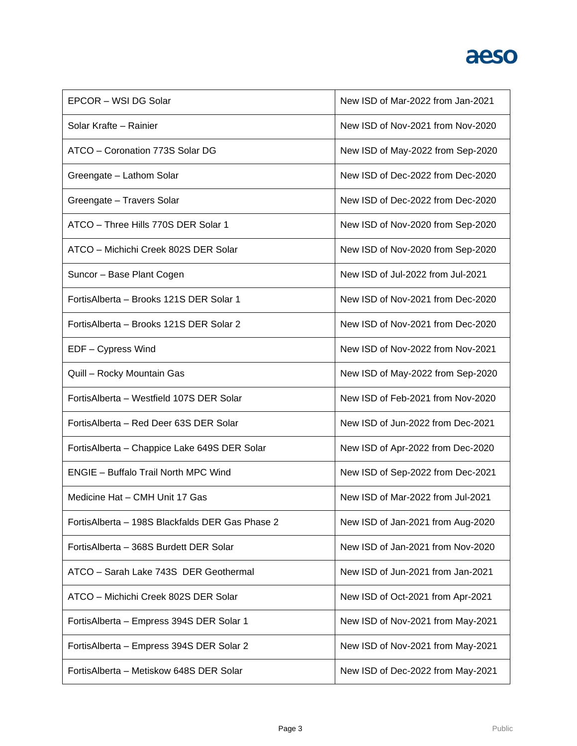| EPCOR - WSI DG Solar                            | New ISD of Mar-2022 from Jan-2021 |
|-------------------------------------------------|-----------------------------------|
| Solar Krafte - Rainier                          | New ISD of Nov-2021 from Nov-2020 |
| ATCO - Coronation 773S Solar DG                 | New ISD of May-2022 from Sep-2020 |
| Greengate - Lathom Solar                        | New ISD of Dec-2022 from Dec-2020 |
| Greengate - Travers Solar                       | New ISD of Dec-2022 from Dec-2020 |
| ATCO - Three Hills 770S DER Solar 1             | New ISD of Nov-2020 from Sep-2020 |
| ATCO - Michichi Creek 802S DER Solar            | New ISD of Nov-2020 from Sep-2020 |
| Suncor - Base Plant Cogen                       | New ISD of Jul-2022 from Jul-2021 |
| Fortis Alberta - Brooks 121S DER Solar 1        | New ISD of Nov-2021 from Dec-2020 |
| FortisAlberta - Brooks 121S DER Solar 2         | New ISD of Nov-2021 from Dec-2020 |
| EDF - Cypress Wind                              | New ISD of Nov-2022 from Nov-2021 |
| Quill - Rocky Mountain Gas                      | New ISD of May-2022 from Sep-2020 |
| Fortis Alberta - Westfield 107S DER Solar       | New ISD of Feb-2021 from Nov-2020 |
| FortisAlberta - Red Deer 63S DER Solar          | New ISD of Jun-2022 from Dec-2021 |
| FortisAlberta - Chappice Lake 649S DER Solar    | New ISD of Apr-2022 from Dec-2020 |
| <b>ENGIE - Buffalo Trail North MPC Wind</b>     | New ISD of Sep-2022 from Dec-2021 |
| Medicine Hat - CMH Unit 17 Gas                  | New ISD of Mar-2022 from Jul-2021 |
| FortisAlberta - 198S Blackfalds DER Gas Phase 2 | New ISD of Jan-2021 from Aug-2020 |
| FortisAlberta - 368S Burdett DER Solar          | New ISD of Jan-2021 from Nov-2020 |
| ATCO - Sarah Lake 743S DER Geothermal           | New ISD of Jun-2021 from Jan-2021 |
| ATCO - Michichi Creek 802S DER Solar            | New ISD of Oct-2021 from Apr-2021 |
| FortisAlberta - Empress 394S DER Solar 1        | New ISD of Nov-2021 from May-2021 |
| FortisAlberta - Empress 394S DER Solar 2        | New ISD of Nov-2021 from May-2021 |
| FortisAlberta - Metiskow 648S DER Solar         | New ISD of Dec-2022 from May-2021 |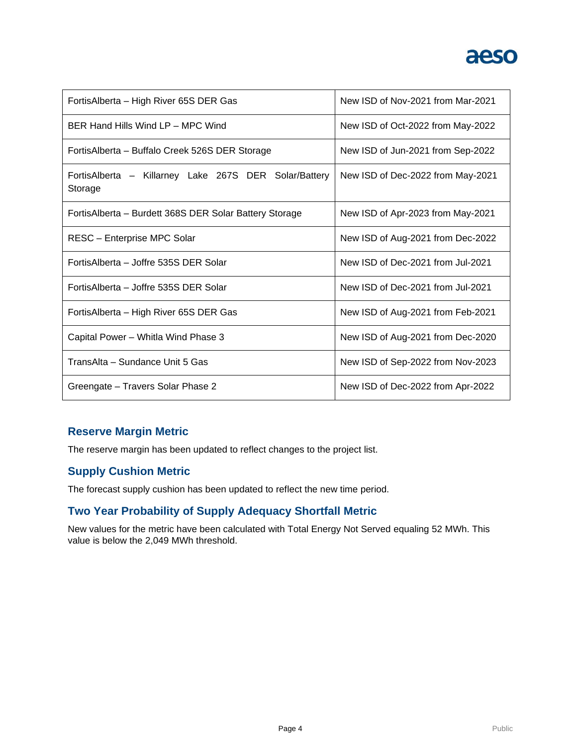

| FortisAlberta - High River 65S DER Gas                           | New ISD of Nov-2021 from Mar-2021 |  |  |  |
|------------------------------------------------------------------|-----------------------------------|--|--|--|
| BER Hand Hills Wind LP - MPC Wind                                | New ISD of Oct-2022 from May-2022 |  |  |  |
| FortisAlberta – Buffalo Creek 526S DER Storage                   | New ISD of Jun-2021 from Sep-2022 |  |  |  |
| FortisAlberta – Killarney Lake 267S DER Solar/Battery<br>Storage | New ISD of Dec-2022 from May-2021 |  |  |  |
| FortisAlberta - Burdett 368S DER Solar Battery Storage           | New ISD of Apr-2023 from May-2021 |  |  |  |
| RESC - Enterprise MPC Solar                                      | New ISD of Aug-2021 from Dec-2022 |  |  |  |
| FortisAlberta - Joffre 535S DER Solar                            | New ISD of Dec-2021 from Jul-2021 |  |  |  |
| FortisAlberta - Joffre 535S DER Solar                            | New ISD of Dec-2021 from Jul-2021 |  |  |  |
| FortisAlberta - High River 65S DER Gas                           | New ISD of Aug-2021 from Feb-2021 |  |  |  |
| Capital Power - Whitla Wind Phase 3                              | New ISD of Aug-2021 from Dec-2020 |  |  |  |
| TransAlta – Sundance Unit 5 Gas                                  | New ISD of Sep-2022 from Nov-2023 |  |  |  |
| Greengate - Travers Solar Phase 2                                | New ISD of Dec-2022 from Apr-2022 |  |  |  |

### **Reserve Margin Metric**

The reserve margin has been updated to reflect changes to the project list.

### **Supply Cushion Metric**

The forecast supply cushion has been updated to reflect the new time period.

### **Two Year Probability of Supply Adequacy Shortfall Metric**

New values for the metric have been calculated with Total Energy Not Served equaling 52 MWh. This value is below the 2,049 MWh threshold.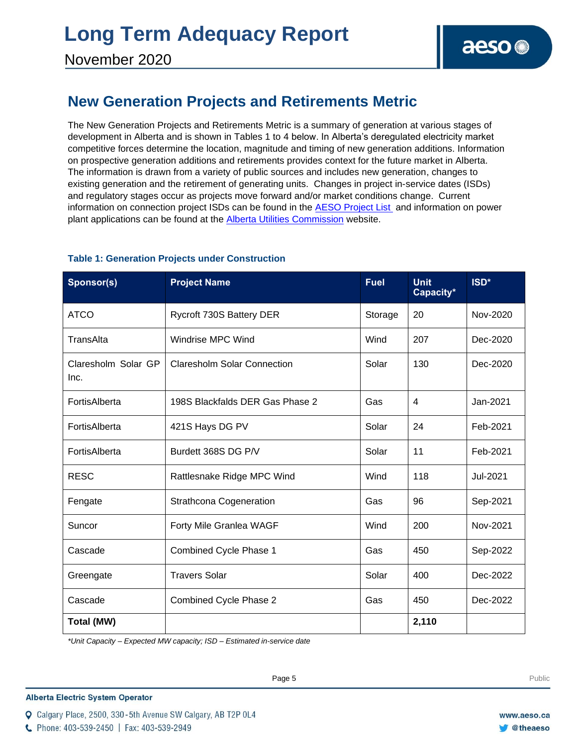### **New Generation Projects and Retirements Metric**

The New Generation Projects and Retirements Metric is a summary of generation at various stages of development in Alberta and is shown in Tables 1 to 4 below. In Alberta's deregulated electricity market competitive forces determine the location, magnitude and timing of new generation additions. Information on prospective generation additions and retirements provides context for the future market in Alberta. The information is drawn from a variety of public sources and includes new generation, changes to existing generation and the retirement of generating units. Changes in project in-service dates (ISDs) and regulatory stages occur as projects move forward and/or market conditions change. Current information on connection project ISDs can be found in the [AESO Project List](https://www.aeso.ca/grid/connecting-to-the-grid/) and information on power plant applications can be found at the [Alberta Utilities Commission](http://www.auc.ab.ca/) website.

| Sponsor(s)                  | <b>Project Name</b>                | <b>Fuel</b> | <b>Unit</b><br>Capacity* | ISD*     |
|-----------------------------|------------------------------------|-------------|--------------------------|----------|
| <b>ATCO</b>                 | Rycroft 730S Battery DER           | Storage     | 20                       | Nov-2020 |
| TransAlta                   | Windrise MPC Wind                  | Wind        | 207                      | Dec-2020 |
| Claresholm Solar GP<br>Inc. | <b>Claresholm Solar Connection</b> | Solar       | 130                      | Dec-2020 |
| FortisAlberta               | 198S Blackfalds DER Gas Phase 2    | Gas         | 4                        | Jan-2021 |
| FortisAlberta               | 421S Hays DG PV                    | Solar       | 24                       | Feb-2021 |
| FortisAlberta               | Burdett 368S DG P/V                | Solar       | 11                       | Feb-2021 |
| <b>RESC</b>                 | Rattlesnake Ridge MPC Wind         | Wind        | 118                      | Jul-2021 |
| Fengate                     | <b>Strathcona Cogeneration</b>     | Gas         | 96                       | Sep-2021 |
| Suncor                      | Forty Mile Granlea WAGF            | Wind        | 200                      | Nov-2021 |
| Cascade                     | Combined Cycle Phase 1             | Gas         | 450                      | Sep-2022 |
| Greengate                   | <b>Travers Solar</b>               | Solar       | 400                      | Dec-2022 |
| Cascade                     | Combined Cycle Phase 2             | Gas         | 450                      | Dec-2022 |
| <b>Total (MW)</b>           |                                    |             | 2,110                    |          |

### **Table 1: Generation Projects under Construction**

*\*Unit Capacity – Expected MW capacity; ISD – Estimated in-service date*

Q Calgary Place, 2500, 330-5th Avenue SW Calgary, AB T2P 0L4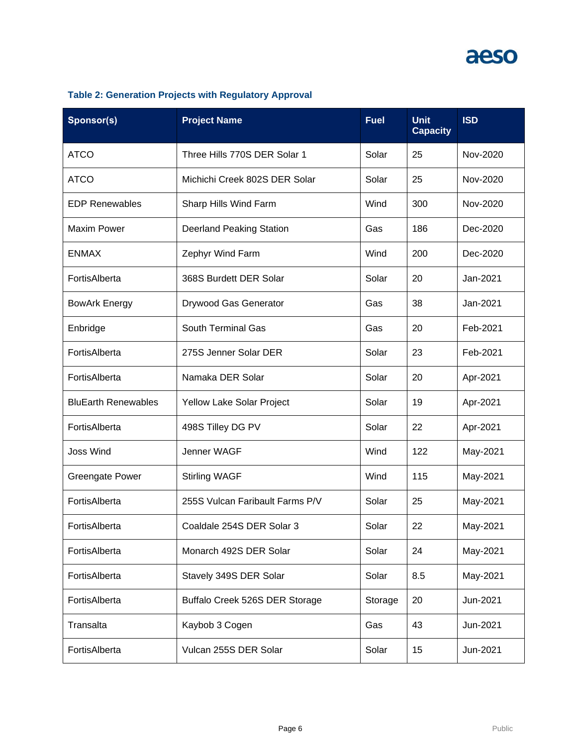| Sponsor(s)                 | <b>Project Name</b>             | <b>Fuel</b> | <b>Unit</b><br><b>Capacity</b> | <b>ISD</b> |
|----------------------------|---------------------------------|-------------|--------------------------------|------------|
| <b>ATCO</b>                | Three Hills 770S DER Solar 1    | Solar       | 25                             | Nov-2020   |
| <b>ATCO</b>                | Michichi Creek 802S DER Solar   | Solar       | 25                             | Nov-2020   |
| <b>EDP Renewables</b>      | Sharp Hills Wind Farm           | Wind        | 300                            | Nov-2020   |
| <b>Maxim Power</b>         | <b>Deerland Peaking Station</b> | Gas         | 186                            | Dec-2020   |
| <b>ENMAX</b>               | Zephyr Wind Farm                | Wind        | 200                            | Dec-2020   |
| FortisAlberta              | 368S Burdett DER Solar          | Solar       | 20                             | Jan-2021   |
| <b>BowArk Energy</b>       | Drywood Gas Generator           | Gas         | 38                             | Jan-2021   |
| Enbridge                   | South Terminal Gas              | Gas         | 20                             | Feb-2021   |
| FortisAlberta              | 275S Jenner Solar DER           | Solar       | 23                             | Feb-2021   |
| FortisAlberta              | Namaka DER Solar                | Solar       | 20                             | Apr-2021   |
| <b>BluEarth Renewables</b> | Yellow Lake Solar Project       | Solar       | 19                             | Apr-2021   |
| FortisAlberta              | 498S Tilley DG PV               | Solar       | 22                             | Apr-2021   |
| <b>Joss Wind</b>           | Jenner WAGF                     | Wind        | 122                            | May-2021   |
| Greengate Power            | <b>Stirling WAGF</b>            | Wind        | 115                            | May-2021   |
| FortisAlberta              | 255S Vulcan Faribault Farms P/V | Solar       | 25                             | May-2021   |
| FortisAlberta              | Coaldale 254S DER Solar 3       | Solar       | 22                             | May-2021   |
| FortisAlberta              | Monarch 492S DER Solar          | Solar       | 24                             | May-2021   |
| FortisAlberta              | Stavely 349S DER Solar          | Solar       | 8.5                            | May-2021   |
| FortisAlberta              | Buffalo Creek 526S DER Storage  | Storage     | 20                             | Jun-2021   |
| Transalta                  | Kaybob 3 Cogen                  | Gas         | 43                             | Jun-2021   |
| FortisAlberta              | Vulcan 255S DER Solar           | Solar       | 15                             | Jun-2021   |

### **Table 2: Generation Projects with Regulatory Approval**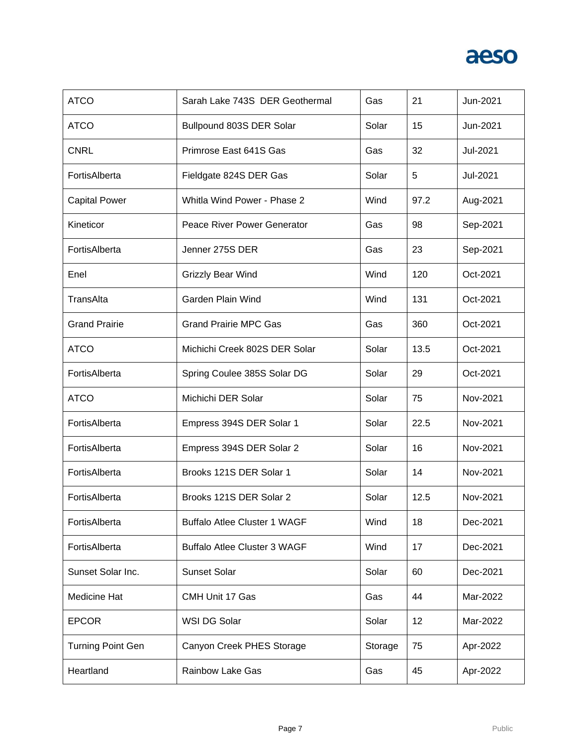| <b>ATCO</b>              | Sarah Lake 743S DER Geothermal      | Gas     | 21   | Jun-2021 |
|--------------------------|-------------------------------------|---------|------|----------|
| <b>ATCO</b>              | Bullpound 803S DER Solar            | Solar   | 15   | Jun-2021 |
| <b>CNRL</b>              | Primrose East 641S Gas              | Gas     | 32   | Jul-2021 |
| FortisAlberta            | Fieldgate 824S DER Gas              | Solar   | 5    | Jul-2021 |
| <b>Capital Power</b>     | Whitla Wind Power - Phase 2         | Wind    | 97.2 | Aug-2021 |
| Kineticor                | Peace River Power Generator         | Gas     | 98   | Sep-2021 |
| FortisAlberta            | Jenner 275S DER                     | Gas     | 23   | Sep-2021 |
| Enel                     | Grizzly Bear Wind                   | Wind    | 120  | Oct-2021 |
| TransAlta                | Garden Plain Wind                   | Wind    | 131  | Oct-2021 |
| <b>Grand Prairie</b>     | <b>Grand Prairie MPC Gas</b>        | Gas     | 360  | Oct-2021 |
| <b>ATCO</b>              | Michichi Creek 802S DER Solar       | Solar   | 13.5 | Oct-2021 |
| FortisAlberta            | Spring Coulee 385S Solar DG         | Solar   | 29   | Oct-2021 |
| <b>ATCO</b>              | Michichi DER Solar                  | Solar   | 75   | Nov-2021 |
| FortisAlberta            | Empress 394S DER Solar 1            | Solar   | 22.5 | Nov-2021 |
| FortisAlberta            | Empress 394S DER Solar 2            | Solar   | 16   | Nov-2021 |
| FortisAlberta            | Brooks 121S DER Solar 1             | Solar   | 14   | Nov-2021 |
| FortisAlberta            | Brooks 121S DER Solar 2             | Solar   | 12.5 | Nov-2021 |
| FortisAlberta            | <b>Buffalo Atlee Cluster 1 WAGF</b> | Wind    | 18   | Dec-2021 |
| FortisAlberta            | <b>Buffalo Atlee Cluster 3 WAGF</b> | Wind    | 17   | Dec-2021 |
| Sunset Solar Inc.        | <b>Sunset Solar</b>                 | Solar   | 60   | Dec-2021 |
| Medicine Hat             | CMH Unit 17 Gas                     | Gas     | 44   | Mar-2022 |
| <b>EPCOR</b>             | WSI DG Solar                        | Solar   | 12   | Mar-2022 |
| <b>Turning Point Gen</b> | Canyon Creek PHES Storage           | Storage | 75   | Apr-2022 |
|                          |                                     |         |      |          |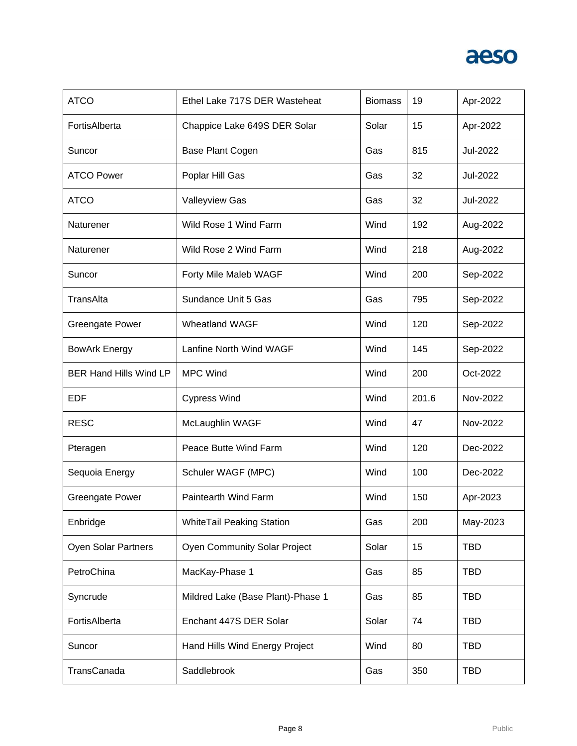

| <b>ATCO</b>                   | Ethel Lake 717S DER Wasteheat       | <b>Biomass</b> | 19    | Apr-2022   |
|-------------------------------|-------------------------------------|----------------|-------|------------|
| FortisAlberta                 | Chappice Lake 649S DER Solar        | Solar          | 15    | Apr-2022   |
| Suncor                        | Base Plant Cogen                    | Gas            | 815   | Jul-2022   |
| <b>ATCO Power</b>             | Poplar Hill Gas                     | Gas            | 32    | Jul-2022   |
| <b>ATCO</b>                   | Valleyview Gas                      | Gas            | 32    | Jul-2022   |
| Naturener                     | Wild Rose 1 Wind Farm               | Wind           | 192   | Aug-2022   |
| Naturener                     | Wild Rose 2 Wind Farm               | Wind           | 218   | Aug-2022   |
| Suncor                        | Forty Mile Maleb WAGF               | Wind           | 200   | Sep-2022   |
| TransAlta                     | Sundance Unit 5 Gas                 | Gas            | 795   | Sep-2022   |
| <b>Greengate Power</b>        | <b>Wheatland WAGF</b>               | Wind           | 120   | Sep-2022   |
| <b>BowArk Energy</b>          | Lanfine North Wind WAGF             | Wind           | 145   | Sep-2022   |
| <b>BER Hand Hills Wind LP</b> | <b>MPC Wind</b>                     | Wind           | 200   | Oct-2022   |
|                               |                                     |                |       |            |
| EDF                           | <b>Cypress Wind</b>                 | Wind           | 201.6 | Nov-2022   |
| <b>RESC</b>                   | McLaughlin WAGF                     | Wind           | 47    | Nov-2022   |
| Pteragen                      | Peace Butte Wind Farm               | Wind           | 120   | Dec-2022   |
| Sequoia Energy                | Schuler WAGF (MPC)                  | Wind           | 100   | Dec-2022   |
| <b>Greengate Power</b>        | Paintearth Wind Farm                | Wind           | 150   | Apr-2023   |
| Enbridge                      | <b>WhiteTail Peaking Station</b>    | Gas            | 200   | May-2023   |
| <b>Oyen Solar Partners</b>    | <b>Oyen Community Solar Project</b> | Solar          | 15    | <b>TBD</b> |
| PetroChina                    | MacKay-Phase 1                      | Gas            | 85    | <b>TBD</b> |
| Syncrude                      | Mildred Lake (Base Plant)-Phase 1   | Gas            | 85    | <b>TBD</b> |
| FortisAlberta                 | Enchant 447S DER Solar              | Solar          | 74    | <b>TBD</b> |
| Suncor                        | Hand Hills Wind Energy Project      | Wind           | 80    | <b>TBD</b> |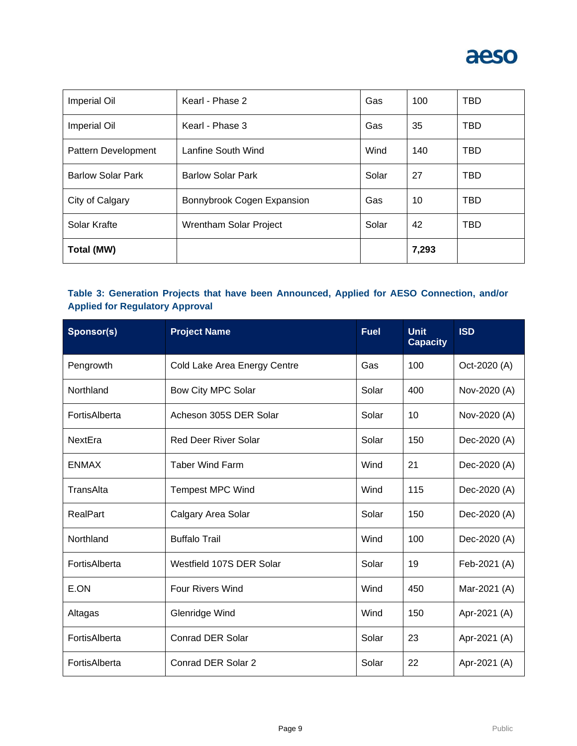

| <b>Imperial Oil</b>      | Kearl - Phase 2            | Gas   | 100   | <b>TBD</b> |
|--------------------------|----------------------------|-------|-------|------------|
| <b>Imperial Oil</b>      | Kearl - Phase 3            | Gas   | 35    | <b>TBD</b> |
| Pattern Development      | Lanfine South Wind         | Wind  | 140   | TBD        |
| <b>Barlow Solar Park</b> | <b>Barlow Solar Park</b>   | Solar | 27    | <b>TBD</b> |
| City of Calgary          | Bonnybrook Cogen Expansion | Gas   | 10    | <b>TBD</b> |
| Solar Krafte             | Wrentham Solar Project     | Solar | 42    | TBD        |
| Total (MW)               |                            |       | 7,293 |            |

### **Table 3: Generation Projects that have been Announced, Applied for AESO Connection, and/or Applied for Regulatory Approval**

| Sponsor(s)    | <b>Project Name</b>          | <b>Fuel</b> | <b>Unit</b><br><b>Capacity</b> | <b>ISD</b>   |
|---------------|------------------------------|-------------|--------------------------------|--------------|
| Pengrowth     | Cold Lake Area Energy Centre | Gas         | 100                            | Oct-2020 (A) |
| Northland     | Bow City MPC Solar           | Solar       | 400                            | Nov-2020 (A) |
| FortisAlberta | Acheson 305S DER Solar       | Solar       | 10                             | Nov-2020 (A) |
| NextEra       | <b>Red Deer River Solar</b>  | Solar       | 150                            | Dec-2020 (A) |
| <b>ENMAX</b>  | <b>Taber Wind Farm</b>       | Wind        | 21                             | Dec-2020 (A) |
| TransAlta     | <b>Tempest MPC Wind</b>      | Wind        | 115                            | Dec-2020 (A) |
| RealPart      | Calgary Area Solar           | Solar       | 150                            | Dec-2020 (A) |
| Northland     | <b>Buffalo Trail</b>         | Wind        | 100                            | Dec-2020 (A) |
| FortisAlberta | Westfield 107S DER Solar     | Solar       | 19                             | Feb-2021 (A) |
| E.ON          | Four Rivers Wind             | Wind        | 450                            | Mar-2021 (A) |
| Altagas       | Glenridge Wind               | Wind        | 150                            | Apr-2021 (A) |
| FortisAlberta | <b>Conrad DER Solar</b>      | Solar       | 23                             | Apr-2021 (A) |
| FortisAlberta | Conrad DER Solar 2           | Solar       | 22                             | Apr-2021 (A) |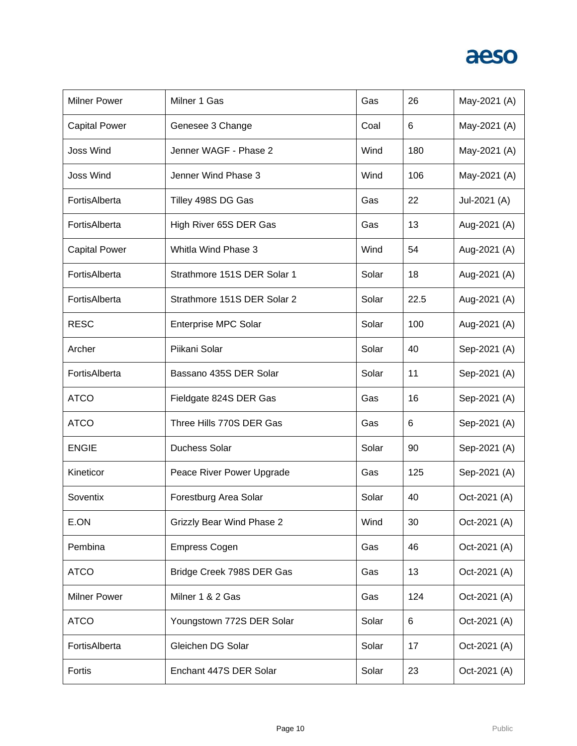| <b>Milner Power</b>  | Milner 1 Gas                     | Gas   | 26   | May-2021 (A) |
|----------------------|----------------------------------|-------|------|--------------|
| <b>Capital Power</b> | Genesee 3 Change                 | Coal  | 6    | May-2021 (A) |
| <b>Joss Wind</b>     | Jenner WAGF - Phase 2            | Wind  | 180  | May-2021 (A) |
| <b>Joss Wind</b>     | Jenner Wind Phase 3              | Wind  | 106  | May-2021 (A) |
| FortisAlberta        | Tilley 498S DG Gas               | Gas   | 22   | Jul-2021 (A) |
| FortisAlberta        | High River 65S DER Gas           | Gas   | 13   | Aug-2021 (A) |
| <b>Capital Power</b> | Whitla Wind Phase 3              | Wind  | 54   | Aug-2021 (A) |
| FortisAlberta        | Strathmore 151S DER Solar 1      | Solar | 18   | Aug-2021 (A) |
| FortisAlberta        | Strathmore 151S DER Solar 2      | Solar | 22.5 | Aug-2021 (A) |
| <b>RESC</b>          | <b>Enterprise MPC Solar</b>      | Solar | 100  | Aug-2021 (A) |
| Archer               | Piikani Solar                    | Solar | 40   | Sep-2021 (A) |
| FortisAlberta        | Bassano 435S DER Solar           | Solar | 11   | Sep-2021 (A) |
| <b>ATCO</b>          | Fieldgate 824S DER Gas           | Gas   | 16   | Sep-2021 (A) |
| <b>ATCO</b>          | Three Hills 770S DER Gas         | Gas   | 6    | Sep-2021 (A) |
| <b>ENGIE</b>         | Duchess Solar                    | Solar | 90   | Sep-2021 (A) |
| Kineticor            | Peace River Power Upgrade        | Gas   | 125  | Sep-2021 (A) |
| Soventix             | Forestburg Area Solar            | Solar | 40   | Oct-2021 (A) |
| E.ON                 | <b>Grizzly Bear Wind Phase 2</b> | Wind  | 30   | Oct-2021 (A) |
| Pembina              | <b>Empress Cogen</b>             | Gas   | 46   | Oct-2021 (A) |
| <b>ATCO</b>          | Bridge Creek 798S DER Gas        | Gas   | 13   | Oct-2021 (A) |
| <b>Milner Power</b>  | Milner 1 & 2 Gas                 | Gas   | 124  | Oct-2021 (A) |
| <b>ATCO</b>          | Youngstown 772S DER Solar        | Solar | 6    | Oct-2021 (A) |
| FortisAlberta        | Gleichen DG Solar                | Solar | 17   | Oct-2021 (A) |
| Fortis               | Enchant 447S DER Solar           | Solar | 23   | Oct-2021 (A) |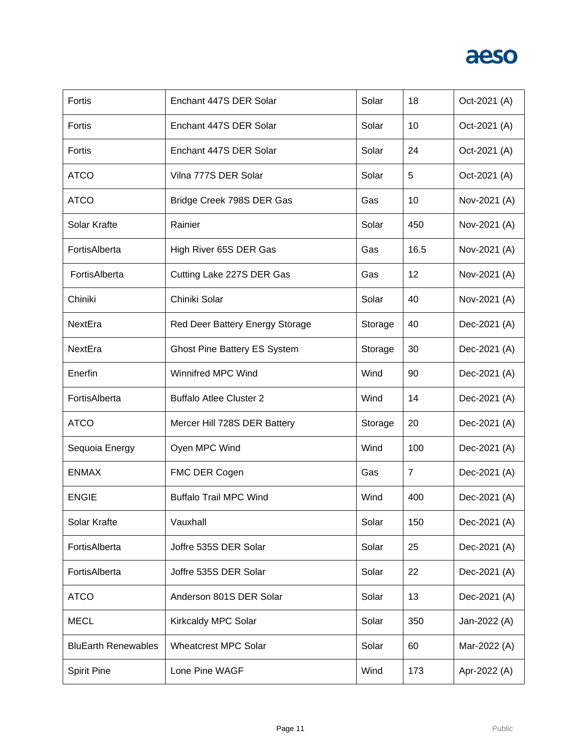| Fortis                     | Enchant 447S DER Solar              | Solar   | 18   | Oct-2021 (A) |
|----------------------------|-------------------------------------|---------|------|--------------|
| Fortis                     | Enchant 447S DER Solar              | Solar   | 10   | Oct-2021 (A) |
| Fortis                     | Enchant 447S DER Solar              | Solar   | 24   | Oct-2021 (A) |
| <b>ATCO</b>                | Vilna 777S DER Solar                | Solar   | 5    | Oct-2021 (A) |
| <b>ATCO</b>                | Bridge Creek 798S DER Gas           | Gas     | 10   | Nov-2021 (A) |
| Solar Krafte               | Rainier                             | Solar   | 450  | Nov-2021 (A) |
| FortisAlberta              | High River 65S DER Gas              | Gas     | 16.5 | Nov-2021 (A) |
| FortisAlberta              | Cutting Lake 227S DER Gas           | Gas     | 12   | Nov-2021 (A) |
| Chiniki                    | Chiniki Solar                       | Solar   | 40   | Nov-2021 (A) |
| NextEra                    | Red Deer Battery Energy Storage     | Storage | 40   | Dec-2021 (A) |
| NextEra                    | <b>Ghost Pine Battery ES System</b> | Storage | 30   | Dec-2021 (A) |
| Enerfin                    | Winnifred MPC Wind                  | Wind    | 90   | Dec-2021 (A) |
| FortisAlberta              | <b>Buffalo Atlee Cluster 2</b>      | Wind    | 14   | Dec-2021 (A) |
| <b>ATCO</b>                | Mercer Hill 728S DER Battery        | Storage | 20   | Dec-2021 (A) |
| Sequoia Energy             | Oyen MPC Wind                       | Wind    | 100  | Dec-2021 (A) |
| <b>ENMAX</b>               | FMC DER Cogen                       | Gas     | 7    | Dec-2021 (A) |
| <b>ENGIE</b>               | <b>Buffalo Trail MPC Wind</b>       | Wind    | 400  | Dec-2021 (A) |
| Solar Krafte               | Vauxhall                            | Solar   | 150  | Dec-2021 (A) |
| FortisAlberta              | Joffre 535S DER Solar               | Solar   | 25   | Dec-2021 (A) |
| FortisAlberta              | Joffre 535S DER Solar               | Solar   | 22   | Dec-2021 (A) |
| <b>ATCO</b>                | Anderson 801S DER Solar             | Solar   | 13   | Dec-2021 (A) |
| <b>MECL</b>                | Kirkcaldy MPC Solar                 | Solar   | 350  | Jan-2022 (A) |
| <b>BluEarth Renewables</b> | <b>Wheatcrest MPC Solar</b>         | Solar   | 60   | Mar-2022 (A) |
| <b>Spirit Pine</b>         | Lone Pine WAGF                      | Wind    | 173  | Apr-2022 (A) |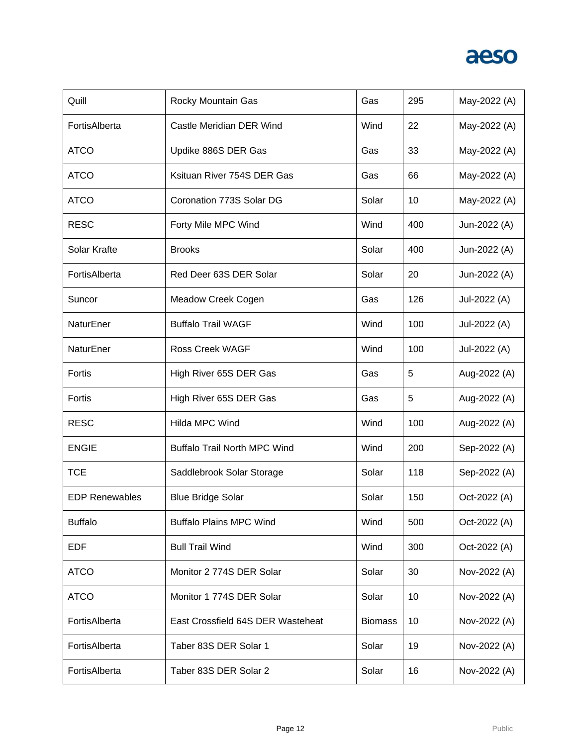| Quill                 | Rocky Mountain Gas                  | Gas            | 295 | May-2022 (A) |
|-----------------------|-------------------------------------|----------------|-----|--------------|
| FortisAlberta         | Castle Meridian DER Wind            | Wind           | 22  | May-2022 (A) |
| <b>ATCO</b>           | Updike 886S DER Gas                 | Gas            | 33  | May-2022 (A) |
| <b>ATCO</b>           | Ksituan River 754S DER Gas          | Gas            | 66  | May-2022 (A) |
| <b>ATCO</b>           | Coronation 773S Solar DG            | Solar          | 10  | May-2022 (A) |
| <b>RESC</b>           | Forty Mile MPC Wind                 | Wind           | 400 | Jun-2022 (A) |
| Solar Krafte          | <b>Brooks</b>                       | Solar          | 400 | Jun-2022 (A) |
| FortisAlberta         | Red Deer 63S DER Solar              | Solar          | 20  | Jun-2022 (A) |
| Suncor                | Meadow Creek Cogen                  | Gas            | 126 | Jul-2022 (A) |
| NaturEner             | <b>Buffalo Trail WAGF</b>           | Wind           | 100 | Jul-2022 (A) |
| NaturEner             | <b>Ross Creek WAGF</b>              | Wind           | 100 | Jul-2022 (A) |
| Fortis                | High River 65S DER Gas              | Gas            | 5   | Aug-2022 (A) |
| Fortis                | High River 65S DER Gas              | Gas            | 5   | Aug-2022 (A) |
| <b>RESC</b>           | Hilda MPC Wind                      | Wind           | 100 | Aug-2022 (A) |
| <b>ENGIE</b>          | <b>Buffalo Trail North MPC Wind</b> | Wind           | 200 | Sep-2022 (A) |
| <b>TCE</b>            | Saddlebrook Solar Storage           | Solar          | 118 | Sep-2022 (A) |
| <b>EDP Renewables</b> | <b>Blue Bridge Solar</b>            | Solar          | 150 | Oct-2022 (A) |
| <b>Buffalo</b>        | <b>Buffalo Plains MPC Wind</b>      | Wind           | 500 | Oct-2022 (A) |
| <b>EDF</b>            | <b>Bull Trail Wind</b>              | Wind           | 300 | Oct-2022 (A) |
| <b>ATCO</b>           | Monitor 2 774S DER Solar            | Solar          | 30  | Nov-2022 (A) |
| <b>ATCO</b>           | Monitor 1 774S DER Solar            | Solar          | 10  | Nov-2022 (A) |
| FortisAlberta         | East Crossfield 64S DER Wasteheat   | <b>Biomass</b> | 10  | Nov-2022 (A) |
| FortisAlberta         | Taber 83S DER Solar 1               | Solar          | 19  | Nov-2022 (A) |
| FortisAlberta         | Taber 83S DER Solar 2               | Solar          | 16  | Nov-2022 (A) |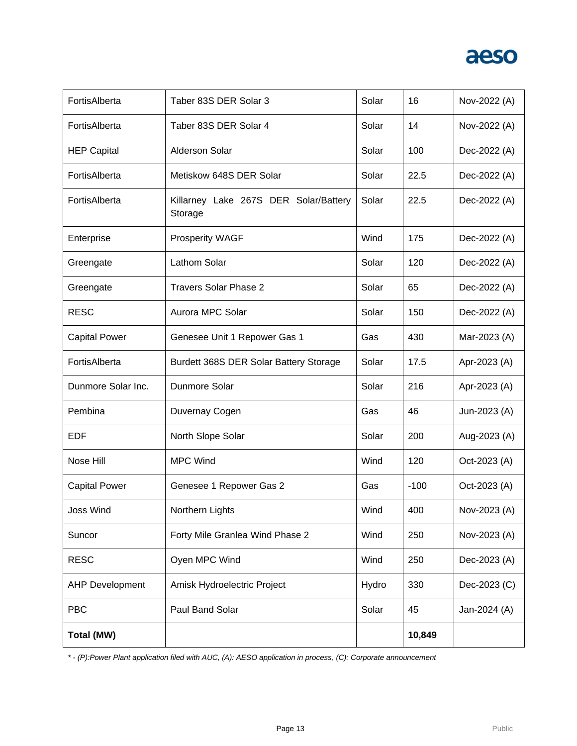

| <b>Total (MW)</b>      |                                                  |       | 10,849 |              |
|------------------------|--------------------------------------------------|-------|--------|--------------|
| <b>PBC</b>             | Paul Band Solar                                  | Solar | 45     | Jan-2024 (A) |
| <b>AHP Development</b> | Amisk Hydroelectric Project                      | Hydro | 330    | Dec-2023 (C) |
| <b>RESC</b>            | Oyen MPC Wind                                    | Wind  | 250    | Dec-2023 (A) |
| Suncor                 | Forty Mile Granlea Wind Phase 2                  | Wind  | 250    | Nov-2023 (A) |
| Joss Wind              | Northern Lights                                  | Wind  | 400    | Nov-2023 (A) |
| <b>Capital Power</b>   | Genesee 1 Repower Gas 2                          | Gas   | $-100$ | Oct-2023 (A) |
| Nose Hill              | <b>MPC Wind</b>                                  | Wind  | 120    | Oct-2023 (A) |
| <b>EDF</b>             | North Slope Solar                                | Solar | 200    | Aug-2023 (A) |
| Pembina                | Duvernay Cogen                                   | Gas   | 46     | Jun-2023 (A) |
| Dunmore Solar Inc.     | Dunmore Solar                                    | Solar | 216    | Apr-2023 (A) |
| FortisAlberta          | Burdett 368S DER Solar Battery Storage           | Solar | 17.5   | Apr-2023 (A) |
| <b>Capital Power</b>   | Genesee Unit 1 Repower Gas 1                     | Gas   | 430    | Mar-2023 (A) |
| <b>RESC</b>            | Aurora MPC Solar                                 | Solar | 150    | Dec-2022 (A) |
| Greengate              | <b>Travers Solar Phase 2</b>                     | Solar | 65     | Dec-2022 (A) |
| Greengate              | Lathom Solar                                     | Solar | 120    | Dec-2022 (A) |
| Enterprise             | <b>Prosperity WAGF</b>                           | Wind  | 175    | Dec-2022 (A) |
| FortisAlberta          | Killarney Lake 267S DER Solar/Battery<br>Storage | Solar | 22.5   | Dec-2022 (A) |
| FortisAlberta          | Metiskow 648S DER Solar                          | Solar | 22.5   | Dec-2022 (A) |
| <b>HEP Capital</b>     | <b>Alderson Solar</b>                            | Solar | 100    | Dec-2022 (A) |
| FortisAlberta          | Taber 83S DER Solar 4                            | Solar | 14     | Nov-2022 (A) |
| FortisAlberta          | Taber 83S DER Solar 3                            | Solar | 16     | Nov-2022 (A) |

*\* - (P):Power Plant application filed with AUC, (A): AESO application in process, (C): Corporate announcement*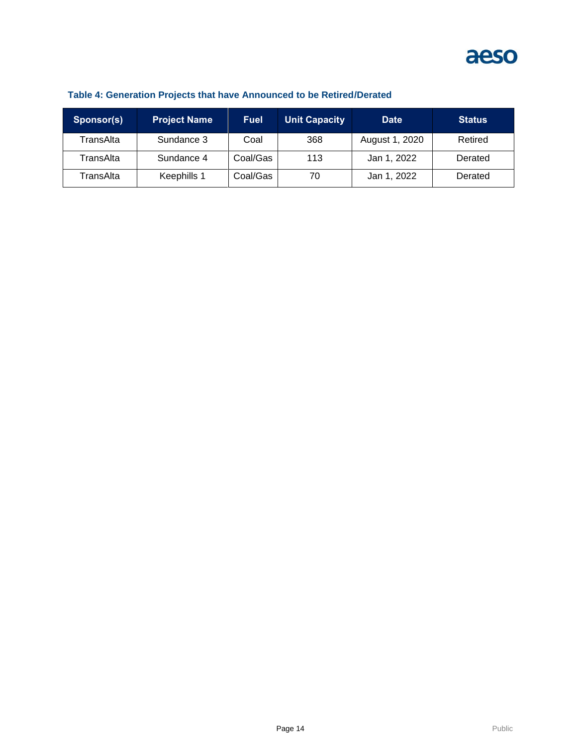

| Sponsor(s) | <b>Project Name</b> | <b>Fuel</b> | <b>Unit Capacity</b> | <b>Date</b>    | <b>Status</b> |
|------------|---------------------|-------------|----------------------|----------------|---------------|
| TransAlta  | Sundance 3          | Coal        | 368                  | August 1, 2020 | Retired       |
| TransAlta  | Sundance 4          | Coal/Gas    | 113                  | Jan 1, 2022    | Derated       |
| TransAlta  | Keephills 1         | Coal/Gas    | 70                   | Jan 1, 2022    | Derated       |

### **Table 4: Generation Projects that have Announced to be Retired/Derated**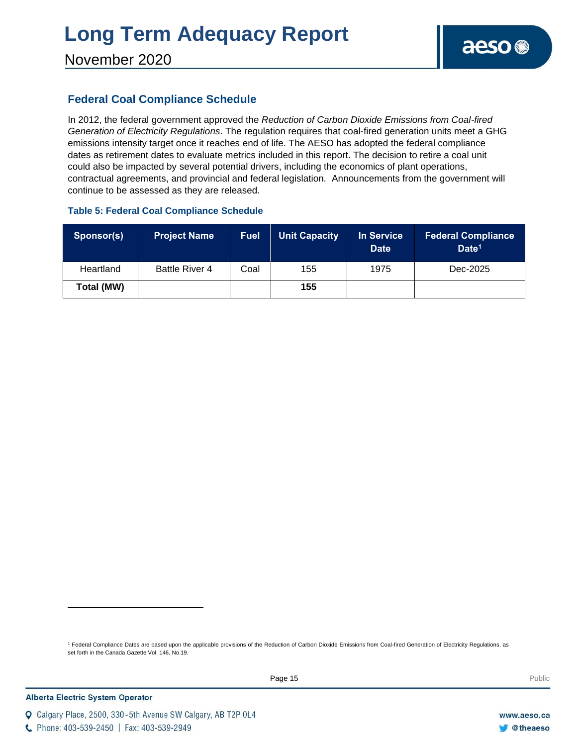### November 2020

### **Federal Coal Compliance Schedule**

In 2012, the federal government approved the *Reduction of Carbon Dioxide Emissions from Coal-fired Generation of Electricity Regulations*. The regulation requires that coal-fired generation units meet a GHG emissions intensity target once it reaches end of life. The AESO has adopted the federal compliance dates as retirement dates to evaluate metrics included in this report. The decision to retire a coal unit could also be impacted by several potential drivers, including the economics of plant operations, contractual agreements, and provincial and federal legislation. Announcements from the government will continue to be assessed as they are released.

#### **Table 5: Federal Coal Compliance Schedule**

| Sponsor(s) | <b>Project Name</b> | <b>Fuel</b> | <b>Unit Capacity</b> | In Service<br><b>Date</b> | <b>Federal Compliance</b><br>Date <sup>1</sup> |
|------------|---------------------|-------------|----------------------|---------------------------|------------------------------------------------|
| Heartland  | Battle River 4      | Coal        | 155                  | 1975                      | Dec-2025                                       |
| Total (MW) |                     |             | 155                  |                           |                                                |

<sup>1</sup> Federal Compliance Dates are based upon the applicable provisions of the Reduction of Carbon Dioxide Emissions from Coal-fired Generation of Electricity Regulations, as set forth in the Canada Gazette Vol. 146, No.19.

C Phone: 403-539-2450 | Fax: 403-539-2949

Q Calgary Place, 2500, 330-5th Avenue SW Calgary, AB T2P 0L4

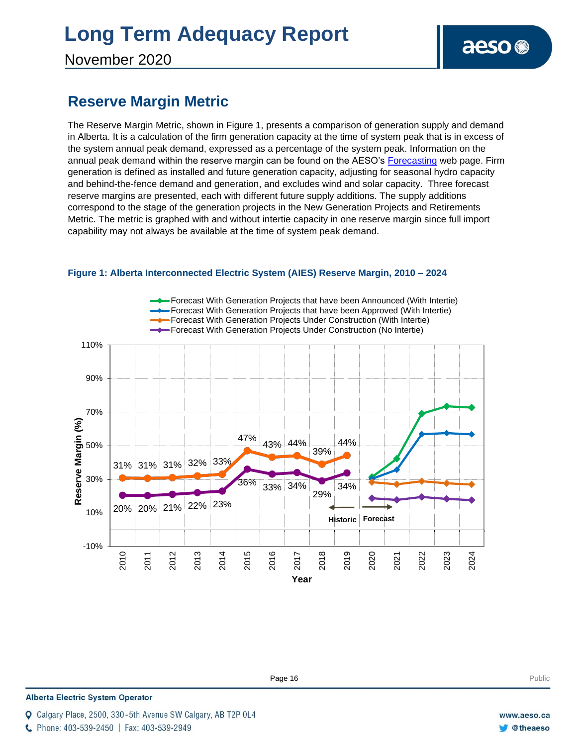November 2020

### **Reserve Margin Metric**

The Reserve Margin Metric, shown in Figure 1, presents a comparison of generation supply and demand in Alberta. It is a calculation of the firm generation capacity at the time of system peak that is in excess of the system annual peak demand, expressed as a percentage of the system peak. Information on the annual peak demand within the reserve margin can be found on the AESO's [Forecasting](https://www.aeso.ca/grid/forecasting) web page. Firm generation is defined as installed and future generation capacity, adjusting for seasonal hydro capacity and behind-the-fence demand and generation, and excludes wind and solar capacity. Three forecast reserve margins are presented, each with different future supply additions. The supply additions correspond to the stage of the generation projects in the New Generation Projects and Retirements Metric. The metric is graphed with and without intertie capacity in one reserve margin since full import capability may not always be available at the time of system peak demand.



#### **Figure 1: Alberta Interconnected Electric System (AIES) Reserve Margin, 2010 – 2024**

**Enter Football Page 16** Public Public Public Public Public Public Public Public Public Public Public Public Public Public Public Public Public Public Public Public Public Public Public Public Public Public Public Public P

#### **Alberta Electric System Operator**

C Phone: 403-539-2450 | Fax: 403-539-2949

Calgary Place, 2500, 330-5th Avenue SW Calgary, AB T2P 0L4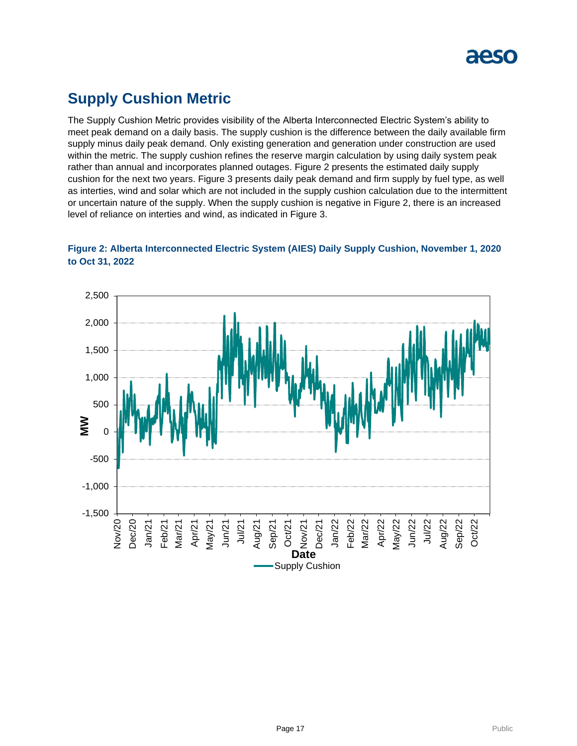

### **Supply Cushion Metric**

The Supply Cushion Metric provides visibility of the Alberta Interconnected Electric System's ability to meet peak demand on a daily basis. The supply cushion is the difference between the daily available firm supply minus daily peak demand. Only existing generation and generation under construction are used within the metric. The supply cushion refines the reserve margin calculation by using daily system peak rather than annual and incorporates planned outages. Figure 2 presents the estimated daily supply cushion for the next two years. Figure 3 presents daily peak demand and firm supply by fuel type, as well as interties, wind and solar which are not included in the supply cushion calculation due to the intermittent or uncertain nature of the supply. When the supply cushion is negative in Figure 2, there is an increased level of reliance on interties and wind, as indicated in Figure 3.



### **Figure 2: Alberta Interconnected Electric System (AIES) Daily Supply Cushion, November 1, 2020 to Oct 31, 2022**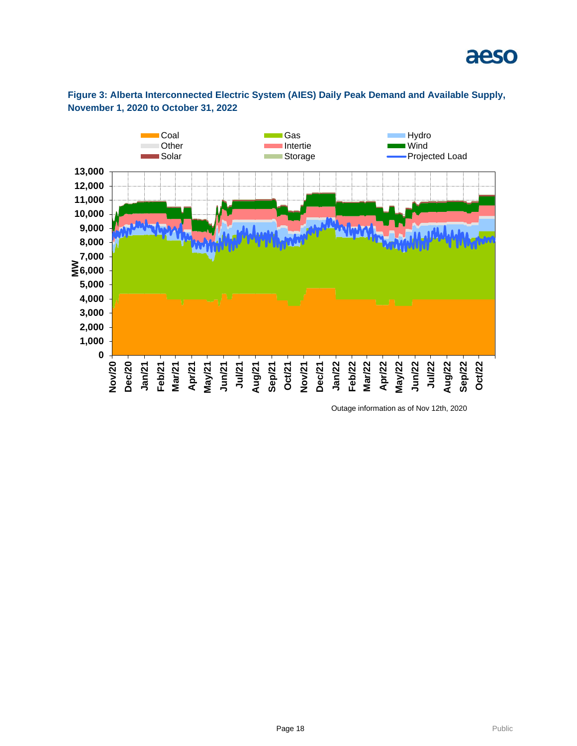



**Figure 3: Alberta Interconnected Electric System (AIES) Daily Peak Demand and Available Supply, November 1, 2020 to October 31, 2022**

Outage information as of Nov 12th, 2020